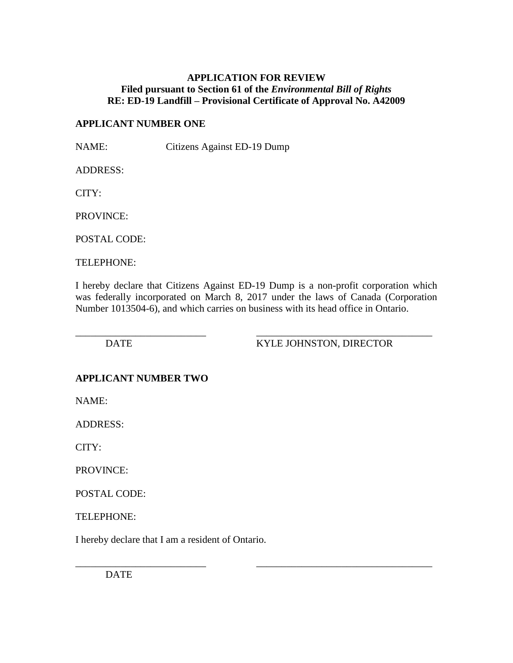### **APPLICATION FOR REVIEW Filed pursuant to Section 61 of the** *Environmental Bill of Rights* **RE: ED-19 Landfill – Provisional Certificate of Approval No. A42009**

### **APPLICANT NUMBER ONE**

NAME: Citizens Against ED-19 Dump

ADDRESS:

CITY:

PROVINCE:

POSTAL CODE:

TELEPHONE:

I hereby declare that Citizens Against ED-19 Dump is a non-profit corporation which was federally incorporated on March 8, 2017 under the laws of Canada (Corporation Number 1013504-6), and which carries on business with its head office in Ontario.

\_\_\_\_\_\_\_\_\_\_\_\_\_\_\_\_\_\_\_\_\_\_\_\_\_\_ \_\_\_\_\_\_\_\_\_\_\_\_\_\_\_\_\_\_\_\_\_\_\_\_\_\_\_\_\_\_\_\_\_\_\_

\_\_\_\_\_\_\_\_\_\_\_\_\_\_\_\_\_\_\_\_\_\_\_\_\_\_ \_\_\_\_\_\_\_\_\_\_\_\_\_\_\_\_\_\_\_\_\_\_\_\_\_\_\_\_\_\_\_\_\_\_\_ DATE KYLE JOHNSTON, DIRECTOR

# **APPLICANT NUMBER TWO**

NAME:

ADDRESS:

CITY:

PROVINCE:

POSTAL CODE:

TELEPHONE:

I hereby declare that I am a resident of Ontario.

DATE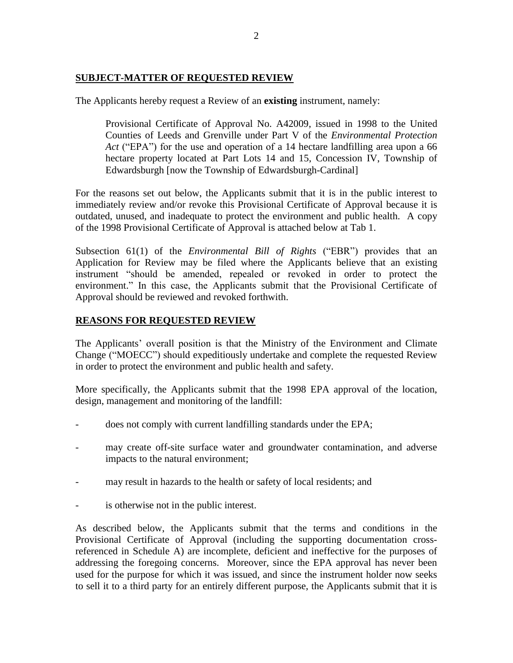## **SUBJECT-MATTER OF REQUESTED REVIEW**

The Applicants hereby request a Review of an **existing** instrument, namely:

Provisional Certificate of Approval No. A42009, issued in 1998 to the United Counties of Leeds and Grenville under Part V of the *Environmental Protection Act* ("EPA") for the use and operation of a 14 hectare landfilling area upon a 66 hectare property located at Part Lots 14 and 15, Concession IV, Township of Edwardsburgh [now the Township of Edwardsburgh-Cardinal]

For the reasons set out below, the Applicants submit that it is in the public interest to immediately review and/or revoke this Provisional Certificate of Approval because it is outdated, unused, and inadequate to protect the environment and public health. A copy of the 1998 Provisional Certificate of Approval is attached below at Tab 1.

Subsection 61(1) of the *Environmental Bill of Rights* ("EBR") provides that an Application for Review may be filed where the Applicants believe that an existing instrument "should be amended, repealed or revoked in order to protect the environment." In this case, the Applicants submit that the Provisional Certificate of Approval should be reviewed and revoked forthwith.

# **REASONS FOR REQUESTED REVIEW**

The Applicants' overall position is that the Ministry of the Environment and Climate Change ("MOECC") should expeditiously undertake and complete the requested Review in order to protect the environment and public health and safety.

More specifically, the Applicants submit that the 1998 EPA approval of the location, design, management and monitoring of the landfill:

- does not comply with current landfilling standards under the EPA;
- may create off-site surface water and groundwater contamination, and adverse impacts to the natural environment;
- may result in hazards to the health or safety of local residents; and
- is otherwise not in the public interest.

As described below, the Applicants submit that the terms and conditions in the Provisional Certificate of Approval (including the supporting documentation crossreferenced in Schedule A) are incomplete, deficient and ineffective for the purposes of addressing the foregoing concerns. Moreover, since the EPA approval has never been used for the purpose for which it was issued, and since the instrument holder now seeks to sell it to a third party for an entirely different purpose, the Applicants submit that it is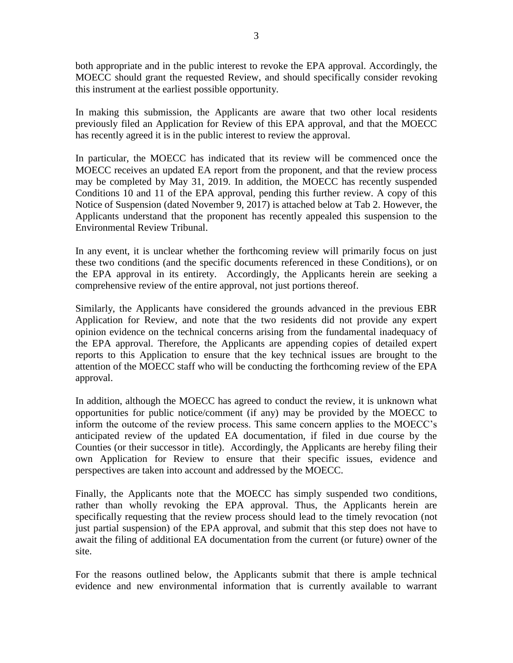both appropriate and in the public interest to revoke the EPA approval. Accordingly, the MOECC should grant the requested Review, and should specifically consider revoking this instrument at the earliest possible opportunity.

In making this submission, the Applicants are aware that two other local residents previously filed an Application for Review of this EPA approval, and that the MOECC has recently agreed it is in the public interest to review the approval.

In particular, the MOECC has indicated that its review will be commenced once the MOECC receives an updated EA report from the proponent, and that the review process may be completed by May 31, 2019. In addition, the MOECC has recently suspended Conditions 10 and 11 of the EPA approval, pending this further review. A copy of this Notice of Suspension (dated November 9, 2017) is attached below at Tab 2. However, the Applicants understand that the proponent has recently appealed this suspension to the Environmental Review Tribunal.

In any event, it is unclear whether the forthcoming review will primarily focus on just these two conditions (and the specific documents referenced in these Conditions), or on the EPA approval in its entirety. Accordingly, the Applicants herein are seeking a comprehensive review of the entire approval, not just portions thereof.

Similarly, the Applicants have considered the grounds advanced in the previous EBR Application for Review, and note that the two residents did not provide any expert opinion evidence on the technical concerns arising from the fundamental inadequacy of the EPA approval. Therefore, the Applicants are appending copies of detailed expert reports to this Application to ensure that the key technical issues are brought to the attention of the MOECC staff who will be conducting the forthcoming review of the EPA approval.

In addition, although the MOECC has agreed to conduct the review, it is unknown what opportunities for public notice/comment (if any) may be provided by the MOECC to inform the outcome of the review process. This same concern applies to the MOECC's anticipated review of the updated EA documentation, if filed in due course by the Counties (or their successor in title). Accordingly, the Applicants are hereby filing their own Application for Review to ensure that their specific issues, evidence and perspectives are taken into account and addressed by the MOECC.

Finally, the Applicants note that the MOECC has simply suspended two conditions, rather than wholly revoking the EPA approval. Thus, the Applicants herein are specifically requesting that the review process should lead to the timely revocation (not just partial suspension) of the EPA approval, and submit that this step does not have to await the filing of additional EA documentation from the current (or future) owner of the site.

For the reasons outlined below, the Applicants submit that there is ample technical evidence and new environmental information that is currently available to warrant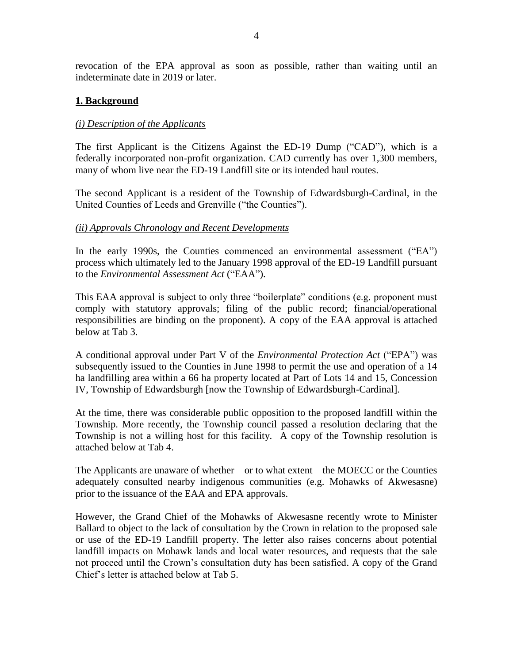revocation of the EPA approval as soon as possible, rather than waiting until an indeterminate date in 2019 or later.

### **1. Background**

#### *(i) Description of the Applicants*

The first Applicant is the Citizens Against the ED-19 Dump ("CAD"), which is a federally incorporated non-profit organization. CAD currently has over 1,300 members, many of whom live near the ED-19 Landfill site or its intended haul routes.

The second Applicant is a resident of the Township of Edwardsburgh-Cardinal, in the United Counties of Leeds and Grenville ("the Counties").

#### *(ii) Approvals Chronology and Recent Developments*

In the early 1990s, the Counties commenced an environmental assessment ("EA") process which ultimately led to the January 1998 approval of the ED-19 Landfill pursuant to the *Environmental Assessment Act* ("EAA").

This EAA approval is subject to only three "boilerplate" conditions (e.g. proponent must comply with statutory approvals; filing of the public record; financial/operational responsibilities are binding on the proponent). A copy of the EAA approval is attached below at Tab 3.

A conditional approval under Part V of the *Environmental Protection Act* ("EPA") was subsequently issued to the Counties in June 1998 to permit the use and operation of a 14 ha landfilling area within a 66 ha property located at Part of Lots 14 and 15, Concession IV, Township of Edwardsburgh [now the Township of Edwardsburgh-Cardinal].

At the time, there was considerable public opposition to the proposed landfill within the Township. More recently, the Township council passed a resolution declaring that the Township is not a willing host for this facility. A copy of the Township resolution is attached below at Tab 4.

The Applicants are unaware of whether – or to what extent – the MOECC or the Counties adequately consulted nearby indigenous communities (e.g. Mohawks of Akwesasne) prior to the issuance of the EAA and EPA approvals.

However, the Grand Chief of the Mohawks of Akwesasne recently wrote to Minister Ballard to object to the lack of consultation by the Crown in relation to the proposed sale or use of the ED-19 Landfill property. The letter also raises concerns about potential landfill impacts on Mohawk lands and local water resources, and requests that the sale not proceed until the Crown's consultation duty has been satisfied. A copy of the Grand Chief's letter is attached below at Tab 5.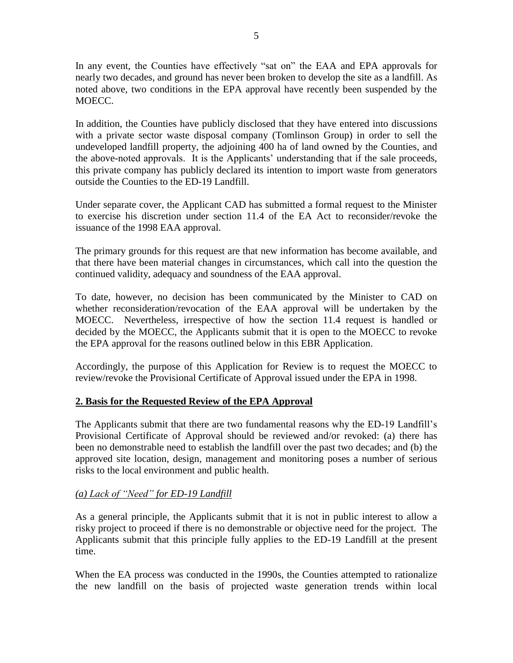In any event, the Counties have effectively "sat on" the EAA and EPA approvals for nearly two decades, and ground has never been broken to develop the site as a landfill. As noted above, two conditions in the EPA approval have recently been suspended by the MOECC.

In addition, the Counties have publicly disclosed that they have entered into discussions with a private sector waste disposal company (Tomlinson Group) in order to sell the undeveloped landfill property, the adjoining 400 ha of land owned by the Counties, and the above-noted approvals. It is the Applicants' understanding that if the sale proceeds, this private company has publicly declared its intention to import waste from generators outside the Counties to the ED-19 Landfill.

Under separate cover, the Applicant CAD has submitted a formal request to the Minister to exercise his discretion under section 11.4 of the EA Act to reconsider/revoke the issuance of the 1998 EAA approval.

The primary grounds for this request are that new information has become available, and that there have been material changes in circumstances, which call into the question the continued validity, adequacy and soundness of the EAA approval.

To date, however, no decision has been communicated by the Minister to CAD on whether reconsideration/revocation of the EAA approval will be undertaken by the MOECC. Nevertheless, irrespective of how the section 11.4 request is handled or decided by the MOECC, the Applicants submit that it is open to the MOECC to revoke the EPA approval for the reasons outlined below in this EBR Application.

Accordingly, the purpose of this Application for Review is to request the MOECC to review/revoke the Provisional Certificate of Approval issued under the EPA in 1998.

# **2. Basis for the Requested Review of the EPA Approval**

The Applicants submit that there are two fundamental reasons why the ED-19 Landfill's Provisional Certificate of Approval should be reviewed and/or revoked: (a) there has been no demonstrable need to establish the landfill over the past two decades; and (b) the approved site location, design, management and monitoring poses a number of serious risks to the local environment and public health.

# *(a) Lack of "Need" for ED-19 Landfill*

As a general principle, the Applicants submit that it is not in public interest to allow a risky project to proceed if there is no demonstrable or objective need for the project. The Applicants submit that this principle fully applies to the ED-19 Landfill at the present time.

When the EA process was conducted in the 1990s, the Counties attempted to rationalize the new landfill on the basis of projected waste generation trends within local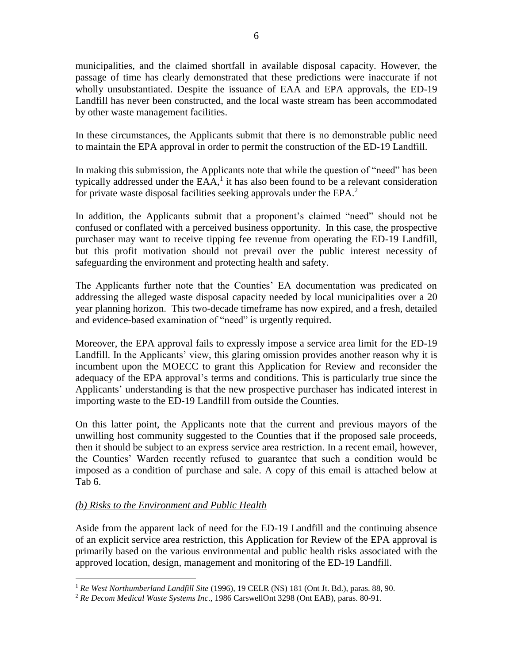municipalities, and the claimed shortfall in available disposal capacity. However, the passage of time has clearly demonstrated that these predictions were inaccurate if not wholly unsubstantiated. Despite the issuance of EAA and EPA approvals, the ED-19 Landfill has never been constructed, and the local waste stream has been accommodated by other waste management facilities.

In these circumstances, the Applicants submit that there is no demonstrable public need to maintain the EPA approval in order to permit the construction of the ED-19 Landfill.

In making this submission, the Applicants note that while the question of "need" has been typically addressed under the  $EAA$ , it has also been found to be a relevant consideration for private waste disposal facilities seeking approvals under the EPA.<sup>2</sup>

In addition, the Applicants submit that a proponent's claimed "need" should not be confused or conflated with a perceived business opportunity. In this case, the prospective purchaser may want to receive tipping fee revenue from operating the ED-19 Landfill, but this profit motivation should not prevail over the public interest necessity of safeguarding the environment and protecting health and safety.

The Applicants further note that the Counties' EA documentation was predicated on addressing the alleged waste disposal capacity needed by local municipalities over a 20 year planning horizon. This two-decade timeframe has now expired, and a fresh, detailed and evidence-based examination of "need" is urgently required.

Moreover, the EPA approval fails to expressly impose a service area limit for the ED-19 Landfill. In the Applicants' view, this glaring omission provides another reason why it is incumbent upon the MOECC to grant this Application for Review and reconsider the adequacy of the EPA approval's terms and conditions. This is particularly true since the Applicants' understanding is that the new prospective purchaser has indicated interest in importing waste to the ED-19 Landfill from outside the Counties.

On this latter point, the Applicants note that the current and previous mayors of the unwilling host community suggested to the Counties that if the proposed sale proceeds, then it should be subject to an express service area restriction. In a recent email, however, the Counties' Warden recently refused to guarantee that such a condition would be imposed as a condition of purchase and sale. A copy of this email is attached below at Tab 6.

# *(b) Risks to the Environment and Public Health*

Aside from the apparent lack of need for the ED-19 Landfill and the continuing absence of an explicit service area restriction, this Application for Review of the EPA approval is primarily based on the various environmental and public health risks associated with the approved location, design, management and monitoring of the ED-19 Landfill.

 $\overline{a}$ <sup>1</sup> *Re West Northumberland Landfill Site* (1996), 19 CELR (NS) 181 (Ont Jt. Bd.), paras. 88, 90.

<sup>2</sup> *Re Decom Medical Waste Systems Inc*., 1986 CarswellOnt 3298 (Ont EAB), paras. 80-91.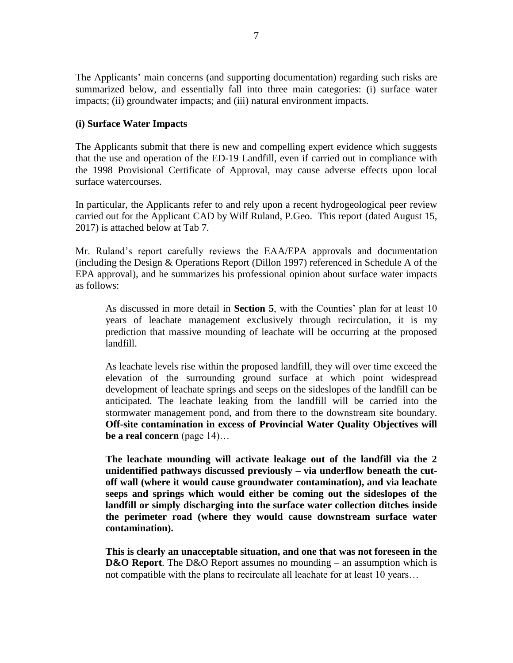The Applicants' main concerns (and supporting documentation) regarding such risks are summarized below, and essentially fall into three main categories: (i) surface water impacts; (ii) groundwater impacts; and (iii) natural environment impacts.

#### **(i) Surface Water Impacts**

The Applicants submit that there is new and compelling expert evidence which suggests that the use and operation of the ED-19 Landfill, even if carried out in compliance with the 1998 Provisional Certificate of Approval, may cause adverse effects upon local surface watercourses.

In particular, the Applicants refer to and rely upon a recent hydrogeological peer review carried out for the Applicant CAD by Wilf Ruland, P.Geo. This report (dated August 15, 2017) is attached below at Tab 7.

Mr. Ruland's report carefully reviews the EAA/EPA approvals and documentation (including the Design & Operations Report (Dillon 1997) referenced in Schedule A of the EPA approval), and he summarizes his professional opinion about surface water impacts as follows:

As discussed in more detail in **Section 5**, with the Counties' plan for at least 10 years of leachate management exclusively through recirculation, it is my prediction that massive mounding of leachate will be occurring at the proposed landfill.

As leachate levels rise within the proposed landfill, they will over time exceed the elevation of the surrounding ground surface at which point widespread development of leachate springs and seeps on the sideslopes of the landfill can be anticipated. The leachate leaking from the landfill will be carried into the stormwater management pond, and from there to the downstream site boundary. **Off-site contamination in excess of Provincial Water Quality Objectives will be a real concern** (page 14)…

**The leachate mounding will activate leakage out of the landfill via the 2 unidentified pathways discussed previously – via underflow beneath the cutoff wall (where it would cause groundwater contamination), and via leachate seeps and springs which would either be coming out the sideslopes of the landfill or simply discharging into the surface water collection ditches inside the perimeter road (where they would cause downstream surface water contamination).**

**This is clearly an unacceptable situation, and one that was not foreseen in the D&O Report**. The D&O Report assumes no mounding – an assumption which is not compatible with the plans to recirculate all leachate for at least 10 years…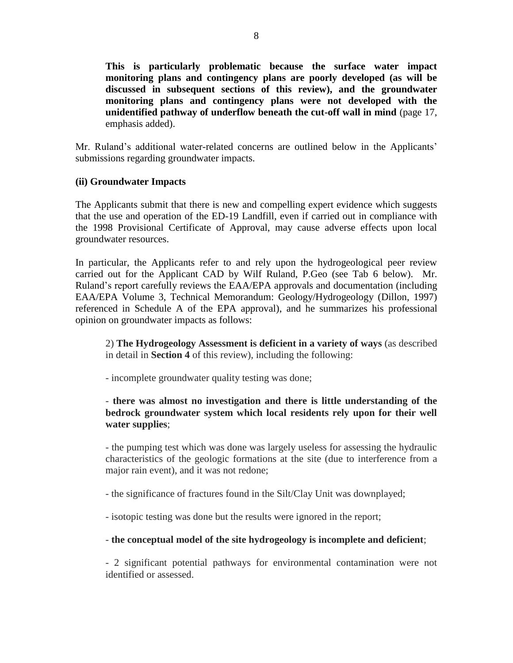**This is particularly problematic because the surface water impact monitoring plans and contingency plans are poorly developed (as will be discussed in subsequent sections of this review), and the groundwater monitoring plans and contingency plans were not developed with the unidentified pathway of underflow beneath the cut-off wall in mind** (page 17, emphasis added).

Mr. Ruland's additional water-related concerns are outlined below in the Applicants' submissions regarding groundwater impacts.

### **(ii) Groundwater Impacts**

The Applicants submit that there is new and compelling expert evidence which suggests that the use and operation of the ED-19 Landfill, even if carried out in compliance with the 1998 Provisional Certificate of Approval, may cause adverse effects upon local groundwater resources.

In particular, the Applicants refer to and rely upon the hydrogeological peer review carried out for the Applicant CAD by Wilf Ruland, P.Geo (see Tab 6 below). Mr. Ruland's report carefully reviews the EAA/EPA approvals and documentation (including EAA/EPA Volume 3, Technical Memorandum: Geology/Hydrogeology (Dillon, 1997) referenced in Schedule A of the EPA approval), and he summarizes his professional opinion on groundwater impacts as follows:

2) **The Hydrogeology Assessment is deficient in a variety of ways** (as described in detail in **Section 4** of this review), including the following:

- incomplete groundwater quality testing was done;

# - **there was almost no investigation and there is little understanding of the bedrock groundwater system which local residents rely upon for their well water supplies**;

- the pumping test which was done was largely useless for assessing the hydraulic characteristics of the geologic formations at the site (due to interference from a major rain event), and it was not redone;

- the significance of fractures found in the Silt/Clay Unit was downplayed;

- isotopic testing was done but the results were ignored in the report;

# - **the conceptual model of the site hydrogeology is incomplete and deficient**;

- 2 significant potential pathways for environmental contamination were not identified or assessed.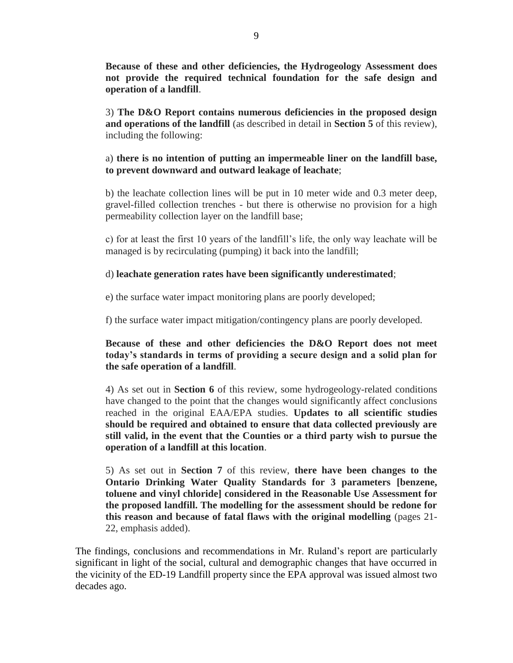**Because of these and other deficiencies, the Hydrogeology Assessment does not provide the required technical foundation for the safe design and operation of a landfill**.

3) **The D&O Report contains numerous deficiencies in the proposed design and operations of the landfill** (as described in detail in **Section 5** of this review), including the following:

## a) **there is no intention of putting an impermeable liner on the landfill base, to prevent downward and outward leakage of leachate**;

b) the leachate collection lines will be put in 10 meter wide and 0.3 meter deep, gravel-filled collection trenches - but there is otherwise no provision for a high permeability collection layer on the landfill base;

c) for at least the first 10 years of the landfill's life, the only way leachate will be managed is by recirculating (pumping) it back into the landfill;

### d) **leachate generation rates have been significantly underestimated**;

e) the surface water impact monitoring plans are poorly developed;

f) the surface water impact mitigation/contingency plans are poorly developed.

# **Because of these and other deficiencies the D&O Report does not meet today's standards in terms of providing a secure design and a solid plan for the safe operation of a landfill**.

4) As set out in **Section 6** of this review, some hydrogeology-related conditions have changed to the point that the changes would significantly affect conclusions reached in the original EAA/EPA studies. **Updates to all scientific studies should be required and obtained to ensure that data collected previously are still valid, in the event that the Counties or a third party wish to pursue the operation of a landfill at this location**.

5) As set out in **Section 7** of this review, **there have been changes to the Ontario Drinking Water Quality Standards for 3 parameters [benzene, toluene and vinyl chloride] considered in the Reasonable Use Assessment for the proposed landfill. The modelling for the assessment should be redone for this reason and because of fatal flaws with the original modelling** (pages 21- 22, emphasis added).

The findings, conclusions and recommendations in Mr. Ruland's report are particularly significant in light of the social, cultural and demographic changes that have occurred in the vicinity of the ED-19 Landfill property since the EPA approval was issued almost two decades ago.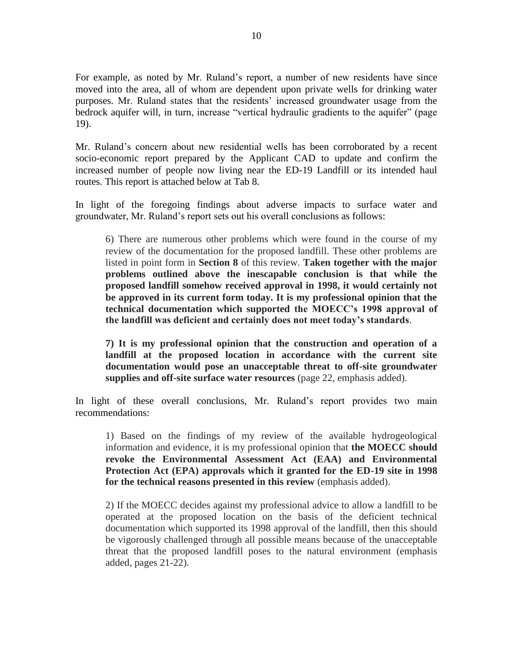For example, as noted by Mr. Ruland's report, a number of new residents have since moved into the area, all of whom are dependent upon private wells for drinking water purposes. Mr. Ruland states that the residents' increased groundwater usage from the bedrock aquifer will, in turn, increase "vertical hydraulic gradients to the aquifer" (page 19).

Mr. Ruland's concern about new residential wells has been corroborated by a recent socio-economic report prepared by the Applicant CAD to update and confirm the increased number of people now living near the ED-19 Landfill or its intended haul routes. This report is attached below at Tab 8.

In light of the foregoing findings about adverse impacts to surface water and groundwater, Mr. Ruland's report sets out his overall conclusions as follows:

6) There are numerous other problems which were found in the course of my review of the documentation for the proposed landfill. These other problems are listed in point form in **Section 8** of this review. **Taken together with the major problems outlined above the inescapable conclusion is that while the proposed landfill somehow received approval in 1998, it would certainly not be approved in its current form today. It is my professional opinion that the technical documentation which supported the MOECC's 1998 approval of the landfill was deficient and certainly does not meet today's standards**.

**7) It is my professional opinion that the construction and operation of a landfill at the proposed location in accordance with the current site documentation would pose an unacceptable threat to off-site groundwater supplies and off-site surface water resources** (page 22, emphasis added).

In light of these overall conclusions, Mr. Ruland's report provides two main recommendations:

1) Based on the findings of my review of the available hydrogeological information and evidence, it is my professional opinion that **the MOECC should revoke the Environmental Assessment Act (EAA) and Environmental Protection Act (EPA) approvals which it granted for the ED-19 site in 1998 for the technical reasons presented in this review** (emphasis added).

2) If the MOECC decides against my professional advice to allow a landfill to be operated at the proposed location on the basis of the deficient technical documentation which supported its 1998 approval of the landfill, then this should be vigorously challenged through all possible means because of the unacceptable threat that the proposed landfill poses to the natural environment (emphasis added, pages 21-22).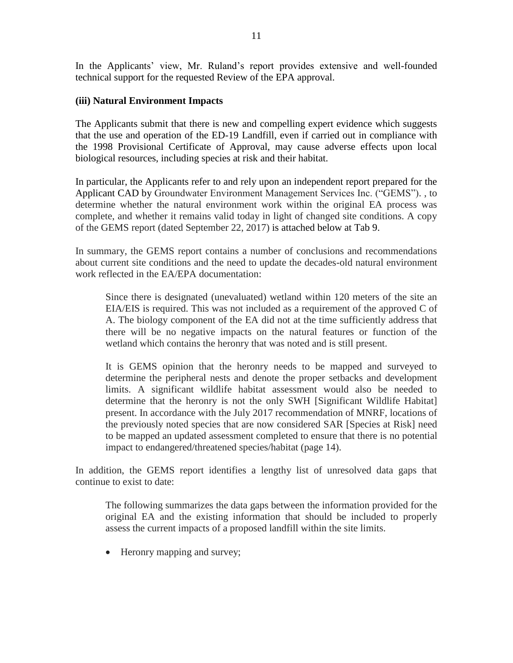In the Applicants' view, Mr. Ruland's report provides extensive and well-founded technical support for the requested Review of the EPA approval.

#### **(iii) Natural Environment Impacts**

The Applicants submit that there is new and compelling expert evidence which suggests that the use and operation of the ED-19 Landfill, even if carried out in compliance with the 1998 Provisional Certificate of Approval, may cause adverse effects upon local biological resources, including species at risk and their habitat.

In particular, the Applicants refer to and rely upon an independent report prepared for the Applicant CAD by Groundwater Environment Management Services Inc. ("GEMS"). , to determine whether the natural environment work within the original EA process was complete, and whether it remains valid today in light of changed site conditions. A copy of the GEMS report (dated September 22, 2017) is attached below at Tab 9.

In summary, the GEMS report contains a number of conclusions and recommendations about current site conditions and the need to update the decades-old natural environment work reflected in the EA/EPA documentation:

Since there is designated (unevaluated) wetland within 120 meters of the site an EIA/EIS is required. This was not included as a requirement of the approved C of A. The biology component of the EA did not at the time sufficiently address that there will be no negative impacts on the natural features or function of the wetland which contains the heronry that was noted and is still present.

It is GEMS opinion that the heronry needs to be mapped and surveyed to determine the peripheral nests and denote the proper setbacks and development limits. A significant wildlife habitat assessment would also be needed to determine that the heronry is not the only SWH [Significant Wildlife Habitat] present. In accordance with the July 2017 recommendation of MNRF, locations of the previously noted species that are now considered SAR [Species at Risk] need to be mapped an updated assessment completed to ensure that there is no potential impact to endangered/threatened species/habitat (page 14).

In addition, the GEMS report identifies a lengthy list of unresolved data gaps that continue to exist to date:

The following summarizes the data gaps between the information provided for the original EA and the existing information that should be included to properly assess the current impacts of a proposed landfill within the site limits.

• Heronry mapping and survey;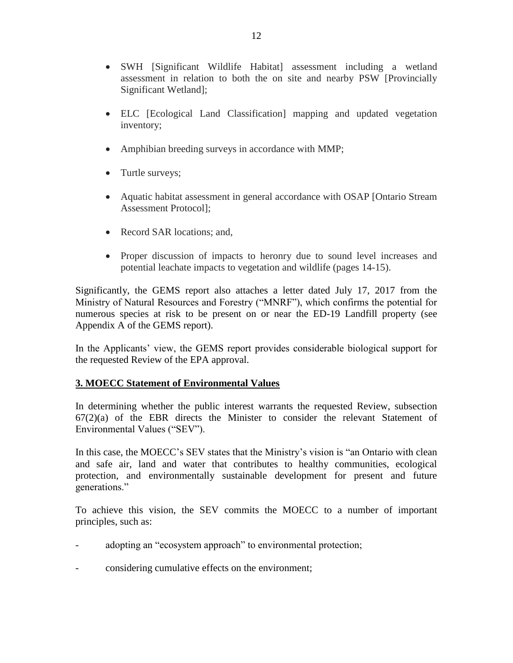- SWH [Significant Wildlife Habitat] assessment including a wetland assessment in relation to both the on site and nearby PSW [Provincially Significant Wetland];
- ELC [Ecological Land Classification] mapping and updated vegetation inventory;
- Amphibian breeding surveys in accordance with MMP;
- Turtle surveys;
- Aquatic habitat assessment in general accordance with OSAP [Ontario Stream Assessment Protocol];
- Record SAR locations; and,
- Proper discussion of impacts to heronry due to sound level increases and potential leachate impacts to vegetation and wildlife (pages 14-15).

Significantly, the GEMS report also attaches a letter dated July 17, 2017 from the Ministry of Natural Resources and Forestry ("MNRF"), which confirms the potential for numerous species at risk to be present on or near the ED-19 Landfill property (see Appendix A of the GEMS report).

In the Applicants' view, the GEMS report provides considerable biological support for the requested Review of the EPA approval.

# **3. MOECC Statement of Environmental Values**

In determining whether the public interest warrants the requested Review, subsection  $67(2)(a)$  of the EBR directs the Minister to consider the relevant Statement of Environmental Values ("SEV").

In this case, the MOECC's SEV states that the Ministry's vision is "an Ontario with clean and safe air, land and water that contributes to healthy communities, ecological protection, and environmentally sustainable development for present and future generations."

To achieve this vision, the SEV commits the MOECC to a number of important principles, such as:

- adopting an "ecosystem approach" to environmental protection;
- considering cumulative effects on the environment;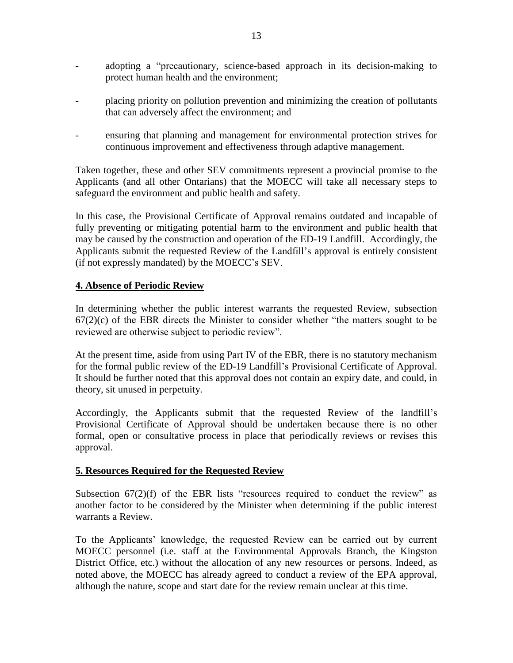- adopting a "precautionary, science-based approach in its decision-making to protect human health and the environment;
- placing priority on pollution prevention and minimizing the creation of pollutants that can adversely affect the environment; and
- ensuring that planning and management for environmental protection strives for continuous improvement and effectiveness through adaptive management.

Taken together, these and other SEV commitments represent a provincial promise to the Applicants (and all other Ontarians) that the MOECC will take all necessary steps to safeguard the environment and public health and safety.

In this case, the Provisional Certificate of Approval remains outdated and incapable of fully preventing or mitigating potential harm to the environment and public health that may be caused by the construction and operation of the ED-19 Landfill. Accordingly, the Applicants submit the requested Review of the Landfill's approval is entirely consistent (if not expressly mandated) by the MOECC's SEV.

### **4. Absence of Periodic Review**

In determining whether the public interest warrants the requested Review, subsection  $67(2)(c)$  of the EBR directs the Minister to consider whether "the matters sought to be reviewed are otherwise subject to periodic review".

At the present time, aside from using Part IV of the EBR, there is no statutory mechanism for the formal public review of the ED-19 Landfill's Provisional Certificate of Approval. It should be further noted that this approval does not contain an expiry date, and could, in theory, sit unused in perpetuity.

Accordingly, the Applicants submit that the requested Review of the landfill's Provisional Certificate of Approval should be undertaken because there is no other formal, open or consultative process in place that periodically reviews or revises this approval.

#### **5. Resources Required for the Requested Review**

Subsection  $67(2)(f)$  of the EBR lists "resources required to conduct the review" as another factor to be considered by the Minister when determining if the public interest warrants a Review.

To the Applicants' knowledge, the requested Review can be carried out by current MOECC personnel (i.e. staff at the Environmental Approvals Branch, the Kingston District Office, etc.) without the allocation of any new resources or persons. Indeed, as noted above, the MOECC has already agreed to conduct a review of the EPA approval, although the nature, scope and start date for the review remain unclear at this time.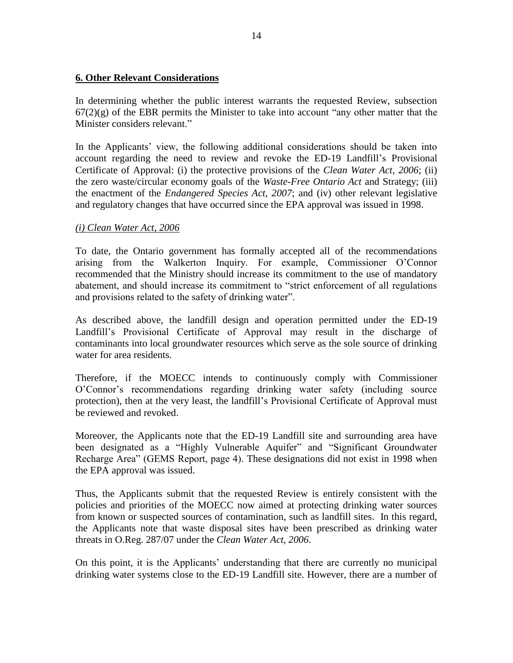#### **6. Other Relevant Considerations**

In determining whether the public interest warrants the requested Review, subsection  $67(2)(g)$  of the EBR permits the Minister to take into account "any other matter that the Minister considers relevant."

In the Applicants' view, the following additional considerations should be taken into account regarding the need to review and revoke the ED-19 Landfill's Provisional Certificate of Approval: (i) the protective provisions of the *Clean Water Act, 2006*; (ii) the zero waste/circular economy goals of the *Waste-Free Ontario Act* and Strategy; (iii) the enactment of the *Endangered Species Act, 2007*; and (iv) other relevant legislative and regulatory changes that have occurred since the EPA approval was issued in 1998.

### *(i) Clean Water Act, 2006*

To date, the Ontario government has formally accepted all of the recommendations arising from the Walkerton Inquiry. For example, Commissioner O'Connor recommended that the Ministry should increase its commitment to the use of mandatory abatement, and should increase its commitment to "strict enforcement of all regulations and provisions related to the safety of drinking water".

As described above, the landfill design and operation permitted under the ED-19 Landfill's Provisional Certificate of Approval may result in the discharge of contaminants into local groundwater resources which serve as the sole source of drinking water for area residents.

Therefore, if the MOECC intends to continuously comply with Commissioner O'Connor's recommendations regarding drinking water safety (including source protection), then at the very least, the landfill's Provisional Certificate of Approval must be reviewed and revoked.

Moreover, the Applicants note that the ED-19 Landfill site and surrounding area have been designated as a "Highly Vulnerable Aquifer" and "Significant Groundwater Recharge Area" (GEMS Report, page 4). These designations did not exist in 1998 when the EPA approval was issued.

Thus, the Applicants submit that the requested Review is entirely consistent with the policies and priorities of the MOECC now aimed at protecting drinking water sources from known or suspected sources of contamination, such as landfill sites. In this regard, the Applicants note that waste disposal sites have been prescribed as drinking water threats in O.Reg. 287/07 under the *Clean Water Act, 2006*.

On this point, it is the Applicants' understanding that there are currently no municipal drinking water systems close to the ED-19 Landfill site. However, there are a number of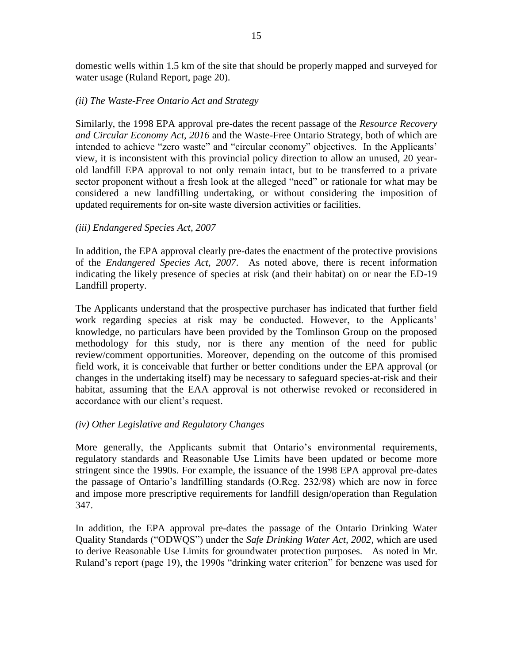domestic wells within 1.5 km of the site that should be properly mapped and surveyed for water usage (Ruland Report, page 20).

#### *(ii) The Waste-Free Ontario Act and Strategy*

Similarly, the 1998 EPA approval pre-dates the recent passage of the *Resource Recovery and Circular Economy Act, 2016* and the Waste-Free Ontario Strategy, both of which are intended to achieve "zero waste" and "circular economy" objectives. In the Applicants' view, it is inconsistent with this provincial policy direction to allow an unused, 20 yearold landfill EPA approval to not only remain intact, but to be transferred to a private sector proponent without a fresh look at the alleged "need" or rationale for what may be considered a new landfilling undertaking, or without considering the imposition of updated requirements for on-site waste diversion activities or facilities.

#### *(iii) Endangered Species Act, 2007*

In addition, the EPA approval clearly pre-dates the enactment of the protective provisions of the *Endangered Species Act, 2007*. As noted above, there is recent information indicating the likely presence of species at risk (and their habitat) on or near the ED-19 Landfill property.

The Applicants understand that the prospective purchaser has indicated that further field work regarding species at risk may be conducted. However, to the Applicants' knowledge, no particulars have been provided by the Tomlinson Group on the proposed methodology for this study, nor is there any mention of the need for public review/comment opportunities. Moreover, depending on the outcome of this promised field work, it is conceivable that further or better conditions under the EPA approval (or changes in the undertaking itself) may be necessary to safeguard species-at-risk and their habitat, assuming that the EAA approval is not otherwise revoked or reconsidered in accordance with our client's request.

#### *(iv) Other Legislative and Regulatory Changes*

More generally, the Applicants submit that Ontario's environmental requirements, regulatory standards and Reasonable Use Limits have been updated or become more stringent since the 1990s. For example, the issuance of the 1998 EPA approval pre-dates the passage of Ontario's landfilling standards (O.Reg. 232/98) which are now in force and impose more prescriptive requirements for landfill design/operation than Regulation 347.

In addition, the EPA approval pre-dates the passage of the Ontario Drinking Water Quality Standards ("ODWQS") under the *Safe Drinking Water Act, 2002,* which are used to derive Reasonable Use Limits for groundwater protection purposes. As noted in Mr. Ruland's report (page 19), the 1990s "drinking water criterion" for benzene was used for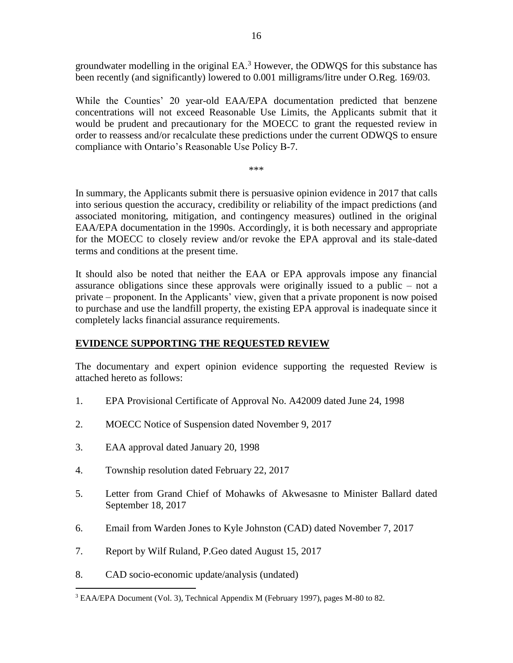groundwater modelling in the original EA. <sup>3</sup> However, the ODWQS for this substance has been recently (and significantly) lowered to 0.001 milligrams/litre under O.Reg. 169/03.

While the Counties' 20 year-old EAA/EPA documentation predicted that benzene concentrations will not exceed Reasonable Use Limits, the Applicants submit that it would be prudent and precautionary for the MOECC to grant the requested review in order to reassess and/or recalculate these predictions under the current ODWQS to ensure compliance with Ontario's Reasonable Use Policy B-7.

\*\*\*

In summary, the Applicants submit there is persuasive opinion evidence in 2017 that calls into serious question the accuracy, credibility or reliability of the impact predictions (and associated monitoring, mitigation, and contingency measures) outlined in the original EAA/EPA documentation in the 1990s. Accordingly, it is both necessary and appropriate for the MOECC to closely review and/or revoke the EPA approval and its stale-dated terms and conditions at the present time.

It should also be noted that neither the EAA or EPA approvals impose any financial assurance obligations since these approvals were originally issued to a public – not a private – proponent. In the Applicants' view, given that a private proponent is now poised to purchase and use the landfill property, the existing EPA approval is inadequate since it completely lacks financial assurance requirements.

# **EVIDENCE SUPPORTING THE REQUESTED REVIEW**

The documentary and expert opinion evidence supporting the requested Review is attached hereto as follows:

- 1. EPA Provisional Certificate of Approval No. A42009 dated June 24, 1998
- 2. MOECC Notice of Suspension dated November 9, 2017
- 3. EAA approval dated January 20, 1998
- 4. Township resolution dated February 22, 2017
- 5. Letter from Grand Chief of Mohawks of Akwesasne to Minister Ballard dated September 18, 2017
- 6. Email from Warden Jones to Kyle Johnston (CAD) dated November 7, 2017
- 7. Report by Wilf Ruland, P.Geo dated August 15, 2017
- 8. CAD socio-economic update/analysis (undated)

 $\overline{a}$ 

<sup>3</sup> EAA/EPA Document (Vol. 3), Technical Appendix M (February 1997), pages M-80 to 82.